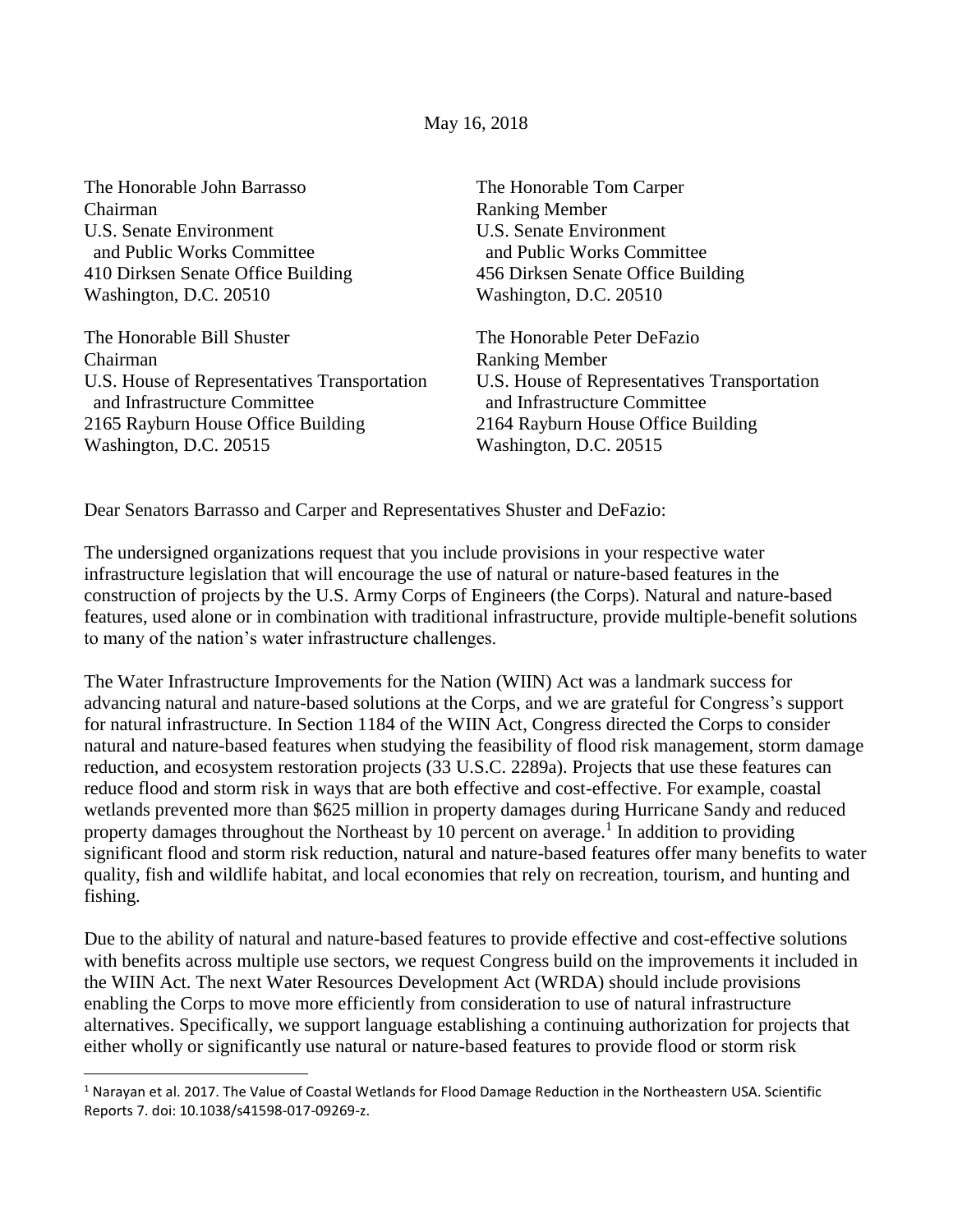May 16, 2018

The Honorable John Barrasso The Honorable Tom Carper Chairman Ranking Member U.S. Senate Environment U.S. Senate Environment and Public Works Committee and Public Works Committee Washington, D.C. 20510 Washington, D.C. 20510

 $\overline{\phantom{a}}$ 

The Honorable Bill Shuster The Honorable Peter DeFazio Chairman Ranking Member U.S. House of Representatives Transportation U.S. House of Representatives Transportation and Infrastructure Committee and Infrastructure Committee 2165 Rayburn House Office Building 2164 Rayburn House Office Building Washington, D.C. 20515 Washington, D.C. 20515

410 Dirksen Senate Office Building 456 Dirksen Senate Office Building

Dear Senators Barrasso and Carper and Representatives Shuster and DeFazio:

The undersigned organizations request that you include provisions in your respective water infrastructure legislation that will encourage the use of natural or nature-based features in the construction of projects by the U.S. Army Corps of Engineers (the Corps). Natural and nature-based features, used alone or in combination with traditional infrastructure, provide multiple-benefit solutions to many of the nation's water infrastructure challenges.

The Water Infrastructure Improvements for the Nation (WIIN) Act was a landmark success for advancing natural and nature-based solutions at the Corps, and we are grateful for Congress's support for natural infrastructure. In Section 1184 of the WIIN Act, Congress directed the Corps to consider natural and nature-based features when studying the feasibility of flood risk management, storm damage reduction, and ecosystem restoration projects (33 U.S.C. 2289a). Projects that use these features can reduce flood and storm risk in ways that are both effective and cost-effective. For example, coastal wetlands prevented more than \$625 million in property damages during Hurricane Sandy and reduced property damages throughout the Northeast by  $10$  percent on average.<sup>1</sup> In addition to providing significant flood and storm risk reduction, natural and nature-based features offer many benefits to water quality, fish and wildlife habitat, and local economies that rely on recreation, tourism, and hunting and fishing.

Due to the ability of natural and nature-based features to provide effective and cost-effective solutions with benefits across multiple use sectors, we request Congress build on the improvements it included in the WIIN Act. The next Water Resources Development Act (WRDA) should include provisions enabling the Corps to move more efficiently from consideration to use of natural infrastructure alternatives. Specifically, we support language establishing a continuing authorization for projects that either wholly or significantly use natural or nature-based features to provide flood or storm risk

 $1$  Narayan et al. 2017. The Value of Coastal Wetlands for Flood Damage Reduction in the Northeastern USA. Scientific Reports 7. doi: 10.1038/s41598-017-09269-z.